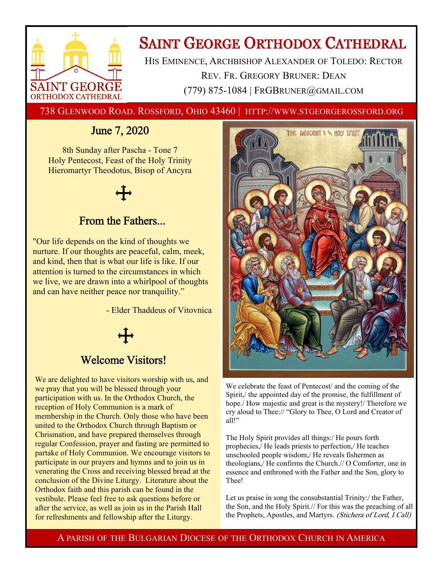

# **SAINT GEORGE ORTHODOX CATHEDRAL**

HIS EMINENCE, ARCHBISHOP ALEXANDER OF TOLEDO: RECTOR REV. FR. GREGORY BRUNER: DEAN (779) 875-1084 | FRGBRUNER@GMAIL.COM

738 GLENWOOD ROAD. ROSSFORD, OHIO 43460 | HTTP://WWW.STGEORGEROSSFORD.ORG

## June 7, 2020

8th Sunday after Pascha - Tone 7 Holy Pentecost, Feast of the Holy Trinity Hieromartyr Theodotus, Bisop of Ancyra

## From the Fathers...

"Our life depends on the kind of thoughts we nurture. If our thoughts are peaceful, calm, meek, and kind, then that is what our life is like. If our attention is turned to the circumstances in which we live, we are drawn into a whirlpool of thoughts and can have neither peace nor tranquility."

- Elder Thaddeus of Vitovnica

## Welcome Visitors!

We are delighted to have visitors worship with us, and we pray that you will be blessed through your participation with us. In the Orthodox Church, the reception of Holy Communion is a mark of membership in the Church. Only those who have been united to the Orthodox Church through Baptism or Chrismation, and have prepared themselves through regular Confession, prayer and fasting are permitted to partake of Holy Communion. We encourage visitors to participate in our prayers and hymns and to join us in venerating the Cross and receiving blessed bread at the conclusion of the Divine Liturgy. Literature about the Orthodox faith and this parish can be found in the vestibule. Please feel free to ask questions before or after the service, as well as join us in the Parish Hall for refreshments and fellowship after the Liturgy.



We celebrate the feast of Pentecost/ and the coming of the Spirit,/ the appointed day of the promise, the fulfillment of hope./ How majestic and great is the mystery!/ Therefore we cry aloud to Thee:// "Glory to Thee, O Lord and Creator of all!"

The Holy Spirit provides all things:/ He pours forth prophecies,/ He leads priests to perfection,/ He teaches unschooled people wisdom,/ He reveals fishermen as theologians,/ He confirms the Church.// O Comforter, one in essence and enthroned with the Father and the Son, glory to Thee!

Let us praise in song the consubstantial Trinity:/ the Father, the Son, and the Holy Spirit.// For this was the preaching of all the Prophets, Apostles, and Martyrs. (Stichera of Lord, I Call)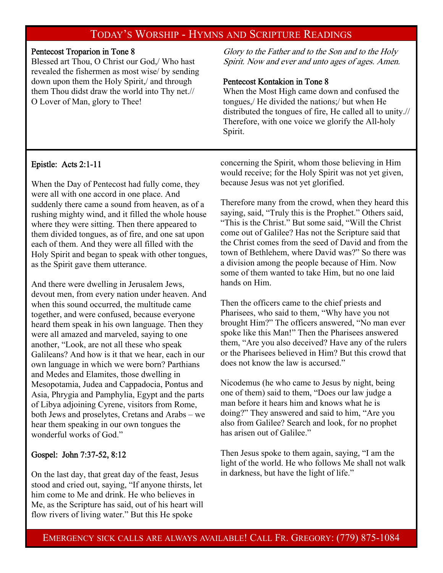### TODAY'S WORSHIP - HYMNS AND SCRIPTURE READINGS

#### Pentecost Troparion in Tone 8

Blessed art Thou, O Christ our God,/ Who hast revealed the fishermen as most wise/ by sending down upon them the Holy Spirit,/ and through them Thou didst draw the world into Thy net.// O Lover of Man, glory to Thee!

Glory to the Father and to the Son and to the Holy Spirit. Now and ever and unto ages of ages. Amen.

#### Pentecost Kontakion in Tone 8

When the Most High came down and confused the tongues,/ He divided the nations;/ but when He distributed the tongues of fire, He called all to unity.// Therefore, with one voice we glorify the All-holy Spirit.

#### Epistle: Acts 2:1-11

When the Day of Pentecost had fully come, they were all with one accord in one place. And suddenly there came a sound from heaven, as of a rushing mighty wind, and it filled the whole house where they were sitting. Then there appeared to them divided tongues, as of fire, and one sat upon each of them. And they were all filled with the Holy Spirit and began to speak with other tongues, as the Spirit gave them utterance.

And there were dwelling in Jerusalem Jews, devout men, from every nation under heaven. And when this sound occurred, the multitude came together, and were confused, because everyone heard them speak in his own language. Then they were all amazed and marveled, saying to one another, "Look, are not all these who speak Galileans? And how is it that we hear, each in our own language in which we were born? Parthians and Medes and Elamites, those dwelling in Mesopotamia, Judea and Cappadocia, Pontus and Asia, Phrygia and Pamphylia, Egypt and the parts of Libya adjoining Cyrene, visitors from Rome, both Jews and proselytes, Cretans and Arabs – we hear them speaking in our own tongues the wonderful works of God."

#### Gospel: John 7:37-52, 8:12

On the last day, that great day of the feast, Jesus stood and cried out, saying, "If anyone thirsts, let him come to Me and drink. He who believes in Me, as the Scripture has said, out of his heart will flow rivers of living water." But this He spoke

concerning the Spirit, whom those believing in Him would receive; for the Holy Spirit was not yet given, because Jesus was not yet glorified.

Therefore many from the crowd, when they heard this saying, said, "Truly this is the Prophet." Others said, "This is the Christ." But some said, "Will the Christ come out of Galilee? Has not the Scripture said that the Christ comes from the seed of David and from the town of Bethlehem, where David was?" So there was a division among the people because of Him. Now some of them wanted to take Him, but no one laid hands on Him.

Then the officers came to the chief priests and Pharisees, who said to them, "Why have you not brought Him?" The officers answered, "No man ever spoke like this Man!" Then the Pharisees answered them, "Are you also deceived? Have any of the rulers or the Pharisees believed in Him? But this crowd that does not know the law is accursed."

Nicodemus (he who came to Jesus by night, being one of them) said to them, "Does our law judge a man before it hears him and knows what he is doing?" They answered and said to him, "Are you also from Galilee? Search and look, for no prophet has arisen out of Galilee."

Then Jesus spoke to them again, saying, "I am the light of the world. He who follows Me shall not walk in darkness, but have the light of life."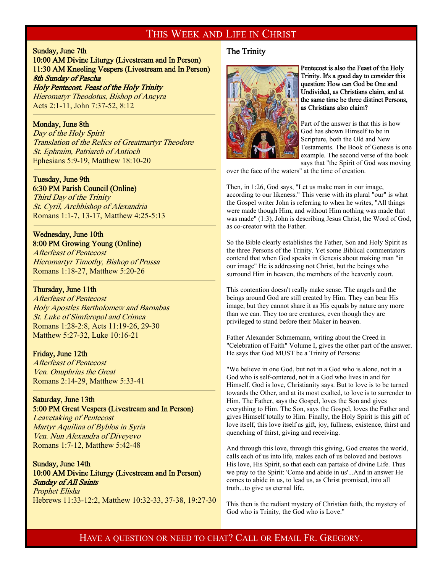### THIS WEEK AND LIFE IN CHRIST

Sunday, June 7th 10:00 AM Divine Liturgy (Livestream and In Person) 11:30 AM Kneeling Vespers (Livestream and In Person) 8th Sunday of Pascha

Holy Pentecost. Feast of the Holy Trinity Hieromatyr Theodotus, Bishop of Ancyra Acts 2:1-11, John 7:37-52, 8:12

#### Monday, June 8th

-

Day of the Holy Spirit Translation of the Relics of Greatmartyr Theodore St. Ephraim, Patriarch of Antioch Ephesians 5:9-19, Matthew 18:10-20

#### Tuesday, June 9th 6:30 PM Parish Council (Online)

Third Day of the Trinity St. Cyril, Archbishop of Alexandria Romans 1:1-7, 13-17, Matthew 4:25-5:13

### Wednesday, June 10th

8:00 PM Growing Young (Online) Afterfeast of Pentecost Hieromartyr Timothy, Bishop of Prussa Romans 1:18-27, Matthew 5:20-26

#### Thursday, June 11th

-

<sup>-</sup>

Afterfeast of Pentecost Holy Apostles Bartholomew and Barnabas St. Luke of Simferopol and Crimea Romans 1:28-2:8, Acts 11:19-26, 29-30 Matthew 5:27-32, Luke 10:16-21

#### Friday, June 12th

Afterfeast of Pentecost Ven. Onuphrius the Great Romans 2:14-29, Matthew 5:33-41

#### Saturday, June 13th 5:00 PM Great Vespers (Livestream and In Person)

Leavetaking of Pentecost Martyr Aquilina of Byblos in Syria Ven. Nun Alexandra of Diveyevo Romans 1:7-12, Matthew 5:42-48

#### Sunday, June 14th 10:00 AM Divine Liturgy (Livestream and In Person) Sunday of All Saints

Prophet Elisha Hebrews 11:33-12:2, Matthew 10:32-33, 37-38, 19:27-30

#### The Trinity



Pentecost is also the Feast of the Holy Trinity. It's a good day to consider this question: How can God be One and Undivided, as Christians claim, and at the same time be three distinct Persons, as Christians also claim?

Part of the answer is that this is how God has shown Himself to be in Scripture, both the Old and New Testaments. The Book of Genesis is one example. The second verse of the book says that "the Spirit of God was moving

over the face of the waters" at the time of creation.

Then, in 1:26, God says, "Let us make man in our image, according to our likeness." This verse with its plural "our" is what the Gospel writer John is referring to when he writes, "All things were made though Him, and without Him nothing was made that was made" (1:3). John is describing Jesus Christ, the Word of God, as co-creator with the Father.

So the Bible clearly establishes the Father, Son and Holy Spirit as the three Persons of the Trinity. Yet some Biblical commentators contend that when God speaks in Genesis about making man "in our image" He is addressing not Christ, but the beings who surround Him in heaven, the members of the heavenly court.

This contention doesn't really make sense. The angels and the beings around God are still created by Him. They can bear His image, but they cannot share it as His equals by nature any more than we can. They too are creatures, even though they are privileged to stand before their Maker in heaven.

Father Alexander Schmemann, writing about the Creed in "Celebration of Faith" Volume I, gives the other part of the answer. He says that God MUST be a Trinity of Persons:

"We believe in one God, but not in a God who is alone, not in a God who is self-centered, not in a God who lives in and for Himself. God is love, Christianity says. But to love is to be turned towards the Other, and at its most exalted, to love is to surrender to Him. The Father, says the Gospel, loves the Son and gives everything to Him. The Son, says the Gospel, loves the Father and gives Himself totally to Him. Finally, the Holy Spirit is this gift of love itself, this love itself as gift, joy, fullness, existence, thirst and quenching of thirst, giving and receiving.

And through this love, through this giving, God creates the world, calls each of us into life, makes each of us beloved and bestows His love, His Spirit, so that each can partake of divine Life. Thus we pray to the Spirit: 'Come and abide in us'...And in answer He comes to abide in us, to lead us, as Christ promised, into all truth...to give us eternal life.

This then is the radiant mystery of Christian faith, the mystery of God who is Trinity, the God who is Love."

HAVE A QUESTION OR NEED TO CHAT? CALL OR EMAIL FR. GREGORY.